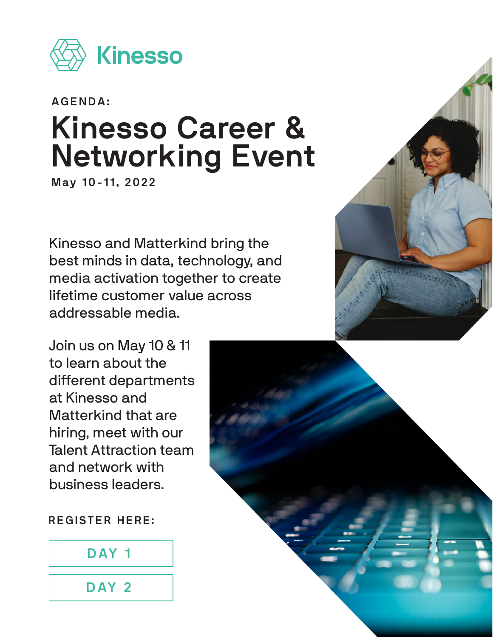

# **AGENDA: Kinesso Career & Networking Event**

**May 10-11, 2022**

Kinesso and Matterkind bring the best minds in data, technology, and media activation together to create lifetime customer value across addressable media.

Join us on May 10 & 11 to learn about the different departments at Kinesso and Matterkind that are hiring, meet with our Talent Attraction team and network with business leaders.

**REGISTER HERE:**



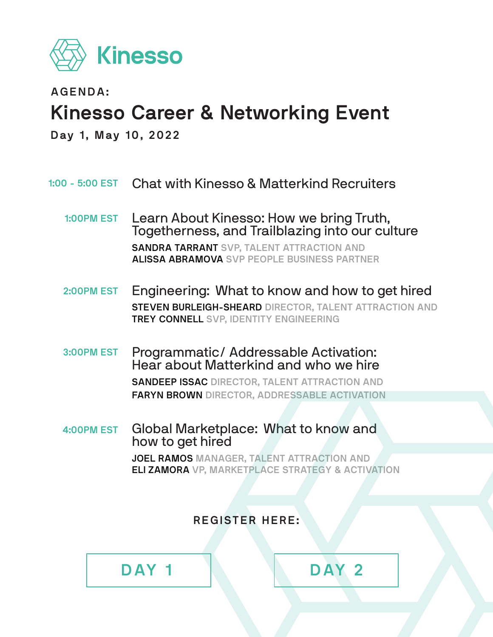

**AGENDA:**

## **Kinesso Career & Networking Event**

**Day 1, May 10, 2022**

- Chat with Kinesso & Matterkind Recruiters **1:00 - 5:00 EST**
	- Learn About Kinesso: How we bring Truth, Togetherness, and Trailblazing into our culture **SANDRA TARRANT SVP, TALENT ATTRACTION AND ALISSA ABRAMOVA SVP PEOPLE BUSINESS PARTNER 1:00PM EST**
	- Engineering:  What to know and how to get hired **STEVEN BURLEIGH-SHEARD DIRECTOR, TALENT ATTRACTION AND TREY CONNELL SVP, IDENTITY ENGINEERING 2:00PM EST**
	- Programmatic/ Addressable Activation:  Hear about Matterkind and who we hire **SANDEEP ISSAC DIRECTOR, TALENT ATTRACTION AND FARYN BROWN DIRECTOR, ADDRESSABLE ACTIVATION 3:00PM EST**
	- Global Marketplace:  What to know and how to get hired **JOEL RAMOS MANAGER, TALENT ATTRACTION AND ELI ZAMORA VP, MARKETPLACE STRATEGY & ACTIVATION 4:00PM EST**

**REGISTER HERE:**

**[DAY 1](https://app.brazenconnect.com/a/kinesso/e/wWr7K) [DAY 2](https://app.brazenconnect.com/events/ZDx5W)**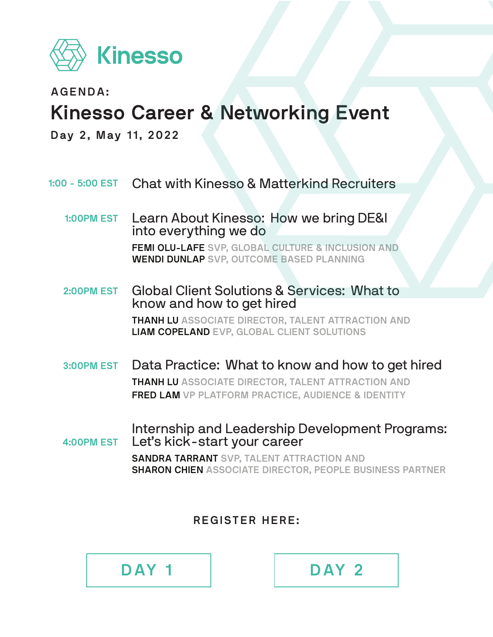

**AGENDA:**

### **Kinesso Career & Networking Event**

**Day 2, May 11, 2022**

Chat with Kinesso & Matterkind Recruiters **1:00 - 5:00 EST**

Learn About Kinesso:  How we bring DE&I into everything we do **FEMI OLU-LAFE SVP, GLOBAL CULTURE & INCLUSION AND WENDI DUNLAP SVP, OUTCOME BASED PLANNING 1:00PM EST**

Global Client Solutions & Services:  What to know and how to get hired **THANH LU ASSOCIATE DIRECTOR, TALENT ATTRACTION AND LIAM COPELAND EVP, GLOBAL CLIENT SOLUTIONS 2:00PM EST**

Data Practice:  What to know and how to get hired **THANH LU ASSOCIATE DIRECTOR, TALENT ATTRACTION AND FRED LAM VP PLATFORM PRACTICE, AUDIENCE & IDENTITY 3:00PM EST**

Internship and Leadership Development Programs:  Let's kick-start your career **SANDRA TARRANT SVP, TALENT ATTRACTION AND SHARON CHIEN ASSOCIATE DIRECTOR, PEOPLE BUSINESS PARTNER 4:00PM EST**

**REGISTER HERE:**